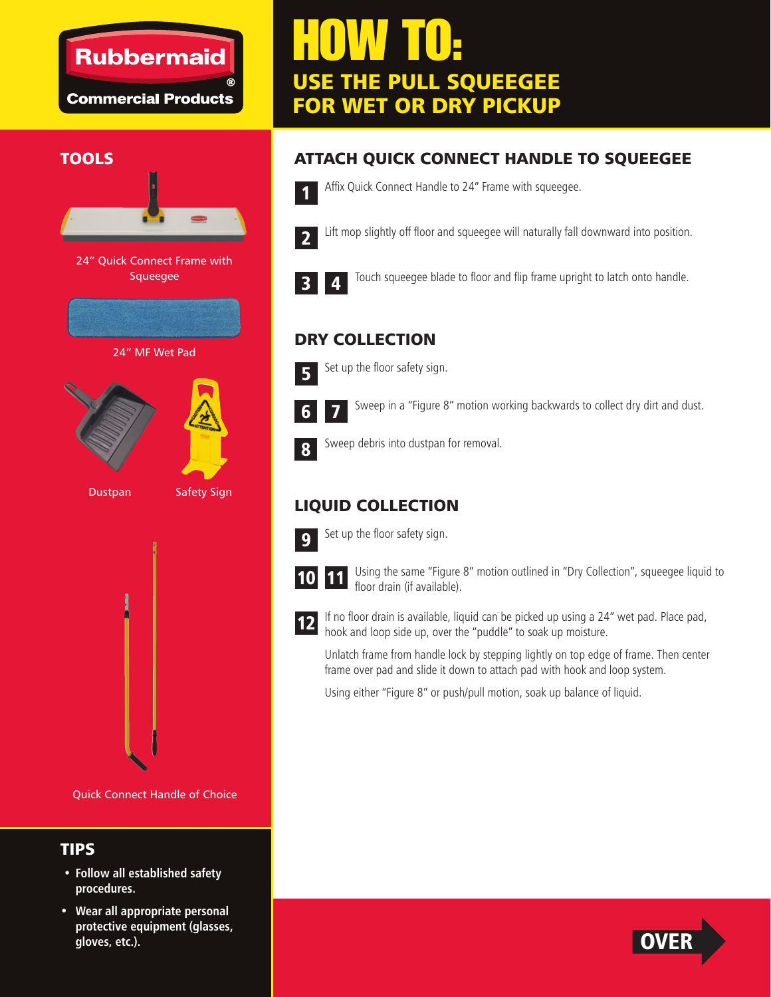## **Rubbermaid**

**Commercial Products** 

# HOW TO: USE THE PULL SQUEEGEE FOR WET OR DRY PICKUP



24" Quick Connect Frame with Squeegee



24" MF Wet Pad





Dustpan

Safety Sign



Quick Connect Handle of Choice

#### TIPS

- **Follow all established safety procedures.**
- **Wear all appropriate personal protective equipment (glasses, gloves, etc.).**

### TOOLS **ATTACH QUICK CONNECT HANDLE TO SQUEEGEE**



Affix Quick Connect Handle to 24" Frame with squeegee.



Lift mop slightly off floor and squeegee will naturally fall downward into position.



Touch squeegee blade to floor and flip frame upright to latch onto handle.

#### DRY COLLECTION



Set up the floor safety sign.



Sweep in a "Figure 8" motion working backwards to collect dry dirt and dust.



Sweep debris into dustpan for removal.

#### LIQUID COLLECTION



Set up the floor safety sign.



Using the same "Figure 8" motion outlined in "Dry Collection", squeegee liquid to floor drain (if available). 11



If no floor drain is available, liquid can be picked up using a 24" wet pad. Place pad, hook and loop side up, over the "puddle" to soak up moisture.

Unlatch frame from handle lock by stepping lightly on top edge of frame. Then center frame over pad and slide it down to attach pad with hook and loop system.

Using either "Figure 8" or push/pull motion, soak up balance of liquid.